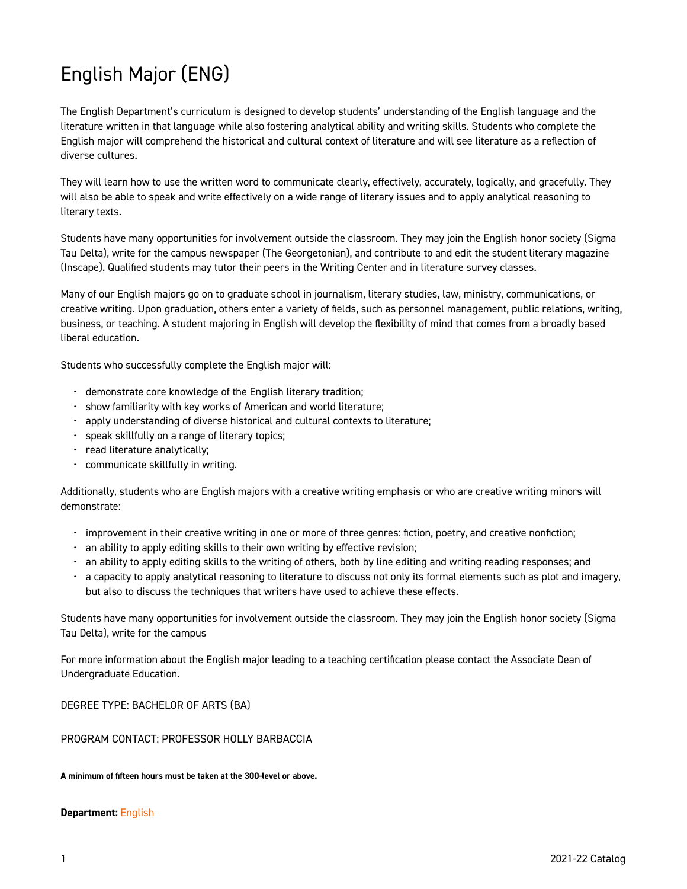# English Major (ENG)

The English Department's curriculum is designed to develop students' understanding of the English language and the literature written in that language while also fostering analytical ability and writing skills. Students who complete the English major will comprehend the historical and cultural context of literature and will see literature as a reflection of diverse cultures.

They will learn how to use the written word to communicate clearly, effectively, accurately, logically, and gracefully. They will also be able to speak and write effectively on a wide range of literary issues and to apply analytical reasoning to literary texts.

Students have many opportunities for involvement outside the classroom. They may join the English honor society (Sigma Tau Delta), write for the campus newspaper (The Georgetonian), and contribute to and edit the student literary magazine (Inscape). Qualified students may tutor their peers in the Writing Center and in literature survey classes.

Many of our English majors go on to graduate school in journalism, literary studies, law, ministry, communications, or creative writing. Upon graduation, others enter a variety of fields, such as personnel management, public relations, writing, business, or teaching. A student majoring in English will develop the flexibility of mind that comes from a broadly based liberal education.

Students who successfully complete the English major will:

- demonstrate core knowledge of the English literary tradition;
- show familiarity with key works of American and world literature;
- apply understanding of diverse historical and cultural contexts to literature;
- speak skillfully on a range of literary topics;
- read literature analytically;
- communicate skillfully in writing.

Additionally, students who are English majors with a creative writing emphasis or who are creative writing minors will demonstrate:

- improvement in their creative writing in one or more of three genres: fiction, poetry, and creative nonfiction;
- $\cdot$  an ability to apply editing skills to their own writing by effective revision;
- an ability to apply editing skills to the writing of others, both by line editing and writing reading responses; and
- a capacity to apply analytical reasoning to literature to discuss not only its formal elements such as plot and imagery, but also to discuss the techniques that writers have used to achieve these effects.

Students have many opportunities for involvement outside the classroom. They may join the English honor society (Sigma Tau Delta), write for the campus

For more information about the English major leading to a teaching certification please contact the Associate Dean of Undergraduate Education.

DEGREE TYPE: BACHELOR OF ARTS (BA)

PROGRAM CONTACT: PROFESSOR HOLLY BARBACCIA

#### **A minimum of fifteen hours must be taken at the 300-level or above.**

#### **Department:** [English](https://catalog.georgetowncollege.edu/english)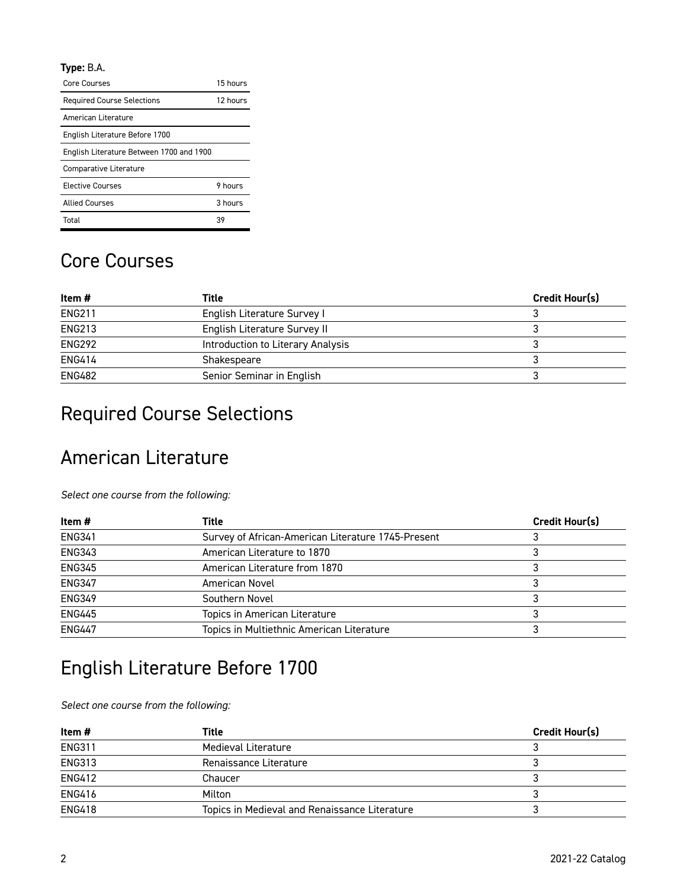#### **Type:** B.A.

| Core Courses                             | 15 hours |
|------------------------------------------|----------|
| <b>Required Course Selections</b>        | 12 hours |
| American Literature                      |          |
| English Literature Before 1700           |          |
| English Literature Between 1700 and 1900 |          |
| Comparative Literature                   |          |
| <b>Elective Courses</b>                  | 9 hours  |
| <b>Allied Courses</b>                    | 3 hours  |
| Total                                    | 39       |

#### Core Courses

| Item #        | Title                             | Credit Hour(s) |
|---------------|-----------------------------------|----------------|
| <b>ENG211</b> | English Literature Survey I       |                |
| <b>ENG213</b> | English Literature Survey II      |                |
| <b>ENG292</b> | Introduction to Literary Analysis |                |
| <b>ENG414</b> | Shakespeare                       |                |
| <b>ENG482</b> | Senior Seminar in English         |                |

# Required Course Selections

## American Literature

*Select one course from the following:* 

| Item #        | Title                                              | <b>Credit Hour(s)</b> |
|---------------|----------------------------------------------------|-----------------------|
| <b>ENG341</b> | Survey of African-American Literature 1745-Present |                       |
| <b>ENG343</b> | American Literature to 1870                        |                       |
| <b>ENG345</b> | American Literature from 1870                      |                       |
| <b>ENG347</b> | American Novel                                     |                       |
| <b>ENG349</b> | Southern Novel                                     |                       |
| <b>ENG445</b> | Topics in American Literature                      |                       |
| <b>ENG447</b> | Topics in Multiethnic American Literature          |                       |

## English Literature Before 1700

*Select one course from the following:* 

| Item#         | <b>Title</b>                                  | <b>Credit Hour(s)</b> |
|---------------|-----------------------------------------------|-----------------------|
| <b>ENG311</b> | Medieval Literature                           |                       |
| <b>ENG313</b> | Renaissance Literature                        |                       |
| <b>ENG412</b> | Chaucer                                       |                       |
| <b>ENG416</b> | Milton                                        |                       |
| <b>ENG418</b> | Topics in Medieval and Renaissance Literature |                       |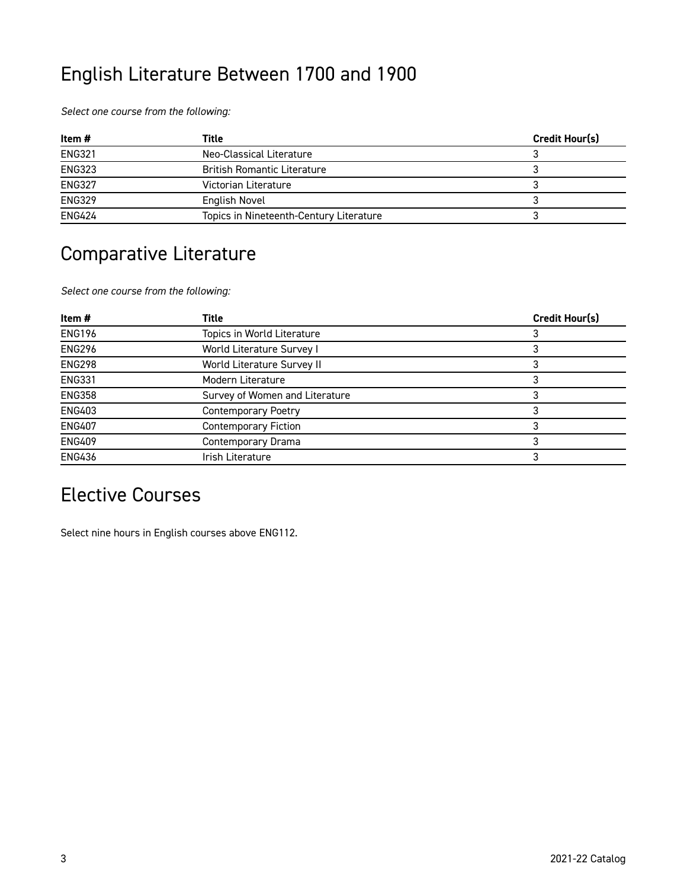# English Literature Between 1700 and 1900

*Select one course from the following:* 

| Item #        | Title                                   | <b>Credit Hour(s)</b> |
|---------------|-----------------------------------------|-----------------------|
| <b>ENG321</b> | Neo-Classical Literature                |                       |
| <b>ENG323</b> | <b>British Romantic Literature</b>      |                       |
| <b>ENG327</b> | Victorian Literature                    |                       |
| <b>ENG329</b> | English Novel                           |                       |
| <b>ENG424</b> | Topics in Nineteenth-Century Literature |                       |

## Comparative Literature

*Select one course from the following:* 

| Credit Hour(s) |
|----------------|
|                |
|                |
|                |
|                |
|                |
|                |
|                |
|                |
|                |
|                |

### Elective Courses

Select nine hours in English courses above ENG112.